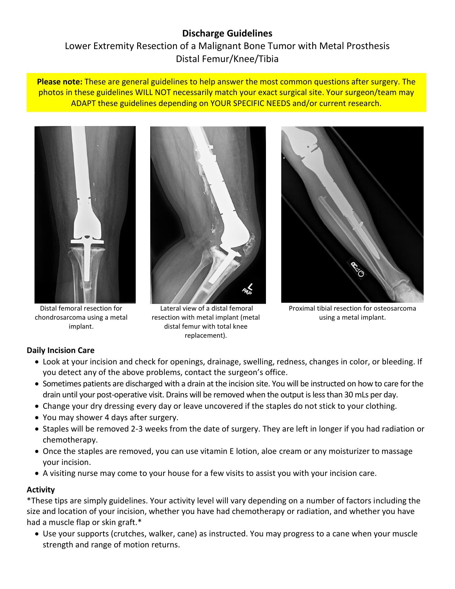# **Discharge Guidelines** Lower Extremity Resection of a Malignant Bone Tumor with Metal Prosthesis Distal Femur/Knee/Tibia

**Please note:** These are general guidelines to help answer the most common questions after surgery. The photos in these guidelines WILL NOT necessarily match your exact surgical site. Your surgeon/team may ADAPT these guidelines depending on YOUR SPECIFIC NEEDS and/or current research.



Distal femoral resection for chondrosarcoma using a metal implant.



resection with metal implant (metal distal femur with total knee replacement).



Proximal tibial resection for osteosarcoma using a metal implant.

# **Daily Incision Care**

- Look at your incision and check for openings, drainage, swelling, redness, changes in color, or bleeding. If you detect any of the above problems, contact the surgeon's office.
- Sometimes patients are discharged with a drain at the incision site. You will be instructed on how to care for the drain until your post-operative visit. Drains will be removed when the output is less than 30 mLs per day.
- Change your dry dressing every day or leave uncovered if the staples do not stick to your clothing.
- You may shower 4 days after surgery.
- Staples will be removed 2-3 weeks from the date of surgery. They are left in longer if you had radiation or chemotherapy.
- Once the staples are removed, you can use vitamin E lotion, aloe cream or any moisturizer to massage your incision.
- A visiting nurse may come to your house for a few visits to assist you with your incision care.

### **Activity**

\*These tips are simply guidelines. Your activity level will vary depending on a number of factors including the size and location of your incision, whether you have had chemotherapy or radiation, and whether you have had a muscle flap or skin graft.\*

 Use your supports (crutches, walker, cane) as instructed. You may progress to a cane when your muscle strength and range of motion returns.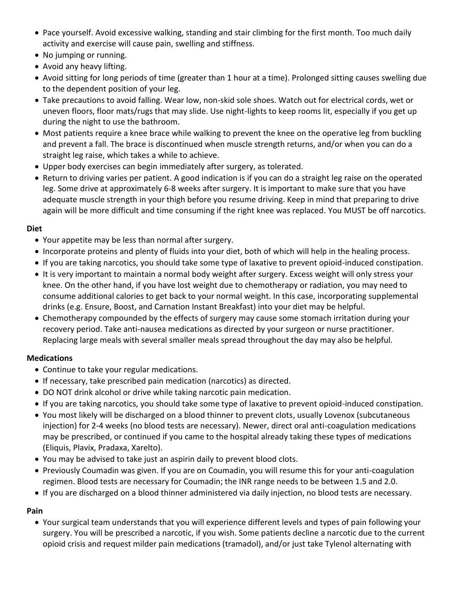- Pace yourself. Avoid excessive walking, standing and stair climbing for the first month. Too much daily activity and exercise will cause pain, swelling and stiffness.
- No jumping or running.
- Avoid any heavy lifting.
- Avoid sitting for long periods of time (greater than 1 hour at a time). Prolonged sitting causes swelling due to the dependent position of your leg.
- Take precautions to avoid falling. Wear low, non-skid sole shoes. Watch out for electrical cords, wet or uneven floors, floor mats/rugs that may slide. Use night-lights to keep rooms lit, especially if you get up during the night to use the bathroom.
- Most patients require a knee brace while walking to prevent the knee on the operative leg from buckling and prevent a fall. The brace is discontinued when muscle strength returns, and/or when you can do a straight leg raise, which takes a while to achieve.
- Upper body exercises can begin immediately after surgery, as tolerated.
- Return to driving varies per patient. A good indication is if you can do a straight leg raise on the operated leg. Some drive at approximately 6-8 weeks after surgery. It is important to make sure that you have adequate muscle strength in your thigh before you resume driving. Keep in mind that preparing to drive again will be more difficult and time consuming if the right knee was replaced. You MUST be off narcotics.

### **Diet**

- Your appetite may be less than normal after surgery.
- Incorporate proteins and plenty of fluids into your diet, both of which will help in the healing process.
- If you are taking narcotics, you should take some type of laxative to prevent opioid-induced constipation.
- It is very important to maintain a normal body weight after surgery. Excess weight will only stress your knee. On the other hand, if you have lost weight due to chemotherapy or radiation, you may need to consume additional calories to get back to your normal weight. In this case, incorporating supplemental drinks (e.g. Ensure, Boost, and Carnation Instant Breakfast) into your diet may be helpful.
- Chemotherapy compounded by the effects of surgery may cause some stomach irritation during your recovery period. Take anti-nausea medications as directed by your surgeon or nurse practitioner. Replacing large meals with several smaller meals spread throughout the day may also be helpful.

### **Medications**

- Continue to take your regular medications.
- If necessary, take prescribed pain medication (narcotics) as directed.
- DO NOT drink alcohol or drive while taking narcotic pain medication.
- If you are taking narcotics, you should take some type of laxative to prevent opioid-induced constipation.
- You most likely will be discharged on a blood thinner to prevent clots, usually Lovenox (subcutaneous injection) for 2-4 weeks (no blood tests are necessary). Newer, direct oral anti-coagulation medications may be prescribed, or continued if you came to the hospital already taking these types of medications (Eliquis, Plavix, Pradaxa, Xarelto).
- You may be advised to take just an aspirin daily to prevent blood clots.
- Previously Coumadin was given. If you are on Coumadin, you will resume this for your anti-coagulation regimen. Blood tests are necessary for Coumadin; the INR range needs to be between 1.5 and 2.0.
- If you are discharged on a blood thinner administered via daily injection, no blood tests are necessary.

# **Pain**

 Your surgical team understands that you will experience different levels and types of pain following your surgery. You will be prescribed a narcotic, if you wish. Some patients decline a narcotic due to the current opioid crisis and request milder pain medications (tramadol), and/or just take Tylenol alternating with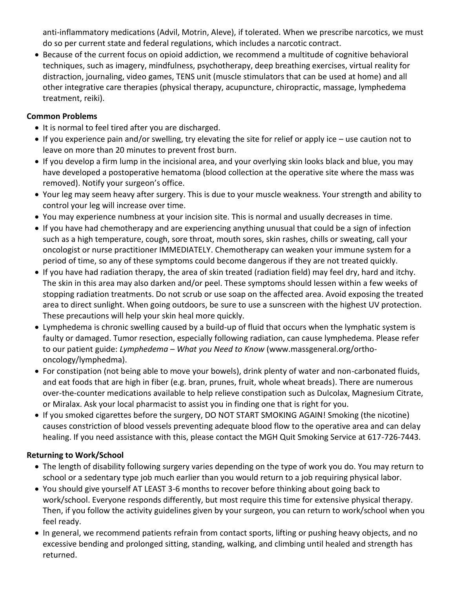anti-inflammatory medications (Advil, Motrin, Aleve), if tolerated. When we prescribe narcotics, we must do so per current state and federal regulations, which includes a narcotic contract.

 Because of the current focus on opioid addiction, we recommend a multitude of cognitive behavioral techniques, such as imagery, mindfulness, psychotherapy, deep breathing exercises, virtual reality for distraction, journaling, video games, TENS unit (muscle stimulators that can be used at home) and all other integrative care therapies (physical therapy, acupuncture, chiropractic, massage, lymphedema treatment, reiki).

### **Common Problems**

- It is normal to feel tired after you are discharged.
- If you experience pain and/or swelling, try elevating the site for relief or apply ice use caution not to leave on more than 20 minutes to prevent frost burn.
- If you develop a firm lump in the incisional area, and your overlying skin looks black and blue, you may have developed a postoperative hematoma (blood collection at the operative site where the mass was removed). Notify your surgeon's office.
- Your leg may seem heavy after surgery. This is due to your muscle weakness. Your strength and ability to control your leg will increase over time.
- You may experience numbness at your incision site. This is normal and usually decreases in time.
- If you have had chemotherapy and are experiencing anything unusual that could be a sign of infection such as a high temperature, cough, sore throat, mouth sores, skin rashes, chills or sweating, call your oncologist or nurse practitioner IMMEDIATELY. Chemotherapy can weaken your immune system for a period of time, so any of these symptoms could become dangerous if they are not treated quickly.
- If you have had radiation therapy, the area of skin treated (radiation field) may feel dry, hard and itchy. The skin in this area may also darken and/or peel. These symptoms should lessen within a few weeks of stopping radiation treatments. Do not scrub or use soap on the affected area. Avoid exposing the treated area to direct sunlight. When going outdoors, be sure to use a sunscreen with the highest UV protection. These precautions will help your skin heal more quickly.
- Lymphedema is chronic swelling caused by a build-up of fluid that occurs when the lymphatic system is faulty or damaged. Tumor resection, especially following radiation, can cause lymphedema. Please refer to our patient guide: *Lymphedema – What you Need to Know* (www.massgeneral.org/orthooncology/lymphedma).
- For constipation (not being able to move your bowels), drink plenty of water and non-carbonated fluids, and eat foods that are high in fiber (e.g. bran, prunes, fruit, whole wheat breads). There are numerous over-the-counter medications available to help relieve constipation such as Dulcolax, Magnesium Citrate, or Miralax. Ask your local pharmacist to assist you in finding one that is right for you.
- If you smoked cigarettes before the surgery, DO NOT START SMOKING AGAIN! Smoking (the nicotine) causes constriction of blood vessels preventing adequate blood flow to the operative area and can delay healing. If you need assistance with this, please contact the MGH Quit Smoking Service at 617-726-7443.

### **Returning to Work/School**

- The length of disability following surgery varies depending on the type of work you do. You may return to school or a sedentary type job much earlier than you would return to a job requiring physical labor.
- You should give yourself AT LEAST 3-6 months to recover before thinking about going back to work/school. Everyone responds differently, but most require this time for extensive physical therapy. Then, if you follow the activity guidelines given by your surgeon, you can return to work/school when you feel ready.
- In general, we recommend patients refrain from contact sports, lifting or pushing heavy objects, and no excessive bending and prolonged sitting, standing, walking, and climbing until healed and strength has returned.